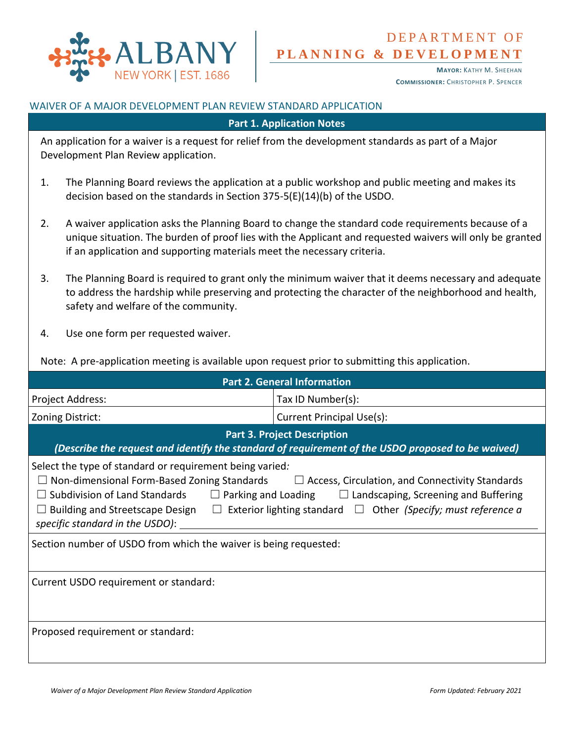

# **P L A N N I N G & D E V E L O P M E N T** DEPARTMENT OF

**MAYOR:** KATHY M. SHEEHAN **COMMISSIONER:** CHRISTOPHER P. SPENCER

#### WAIVER OF A MAJOR DEVELOPMENT PLAN REVIEW STANDARD APPLICATION

**Part 1. Application Notes**

An application for a waiver is a request for relief from the development standards as part of a Major Development Plan Review application.

- 1. The Planning Board reviews the application at a public workshop and public meeting and makes its decision based on the standards in Section 375-5(E)(14)(b) of the USDO.
- 2. A waiver application asks the Planning Board to change the standard code requirements because of a unique situation. The burden of proof lies with the Applicant and requested waivers will only be granted if an application and supporting materials meet the necessary criteria.
- 3. The Planning Board is required to grant only the minimum waiver that it deems necessary and adequate to address the hardship while preserving and protecting the character of the neighborhood and health, safety and welfare of the community.
- 4. Use one form per requested waiver.

Note: A pre-application meeting is available upon request prior to submitting this application.

| <b>Part 2. General Information</b>                                                                                                                                                                                                                                                                                                                                                                                                   |                           |
|--------------------------------------------------------------------------------------------------------------------------------------------------------------------------------------------------------------------------------------------------------------------------------------------------------------------------------------------------------------------------------------------------------------------------------------|---------------------------|
| Project Address:                                                                                                                                                                                                                                                                                                                                                                                                                     | Tax ID Number(s):         |
| Zoning District:                                                                                                                                                                                                                                                                                                                                                                                                                     | Current Principal Use(s): |
| <b>Part 3. Project Description</b><br>(Describe the request and identify the standard of requirement of the USDO proposed to be waived)                                                                                                                                                                                                                                                                                              |                           |
| Select the type of standard or requirement being varied:<br>Non-dimensional Form-Based Zoning Standards $\Box$ Access, Circulation, and Connectivity Standards<br>$\Box$ Subdivision of Land Standards $\Box$ Parking and Loading $\Box$ Landscaping, Screening and Buffering<br>Building and Streetscape Design $\Box$ Exterior lighting standard $\Box$ Other <i>(Specify; must reference a</i><br>specific standard in the USDO): |                           |
| Section number of USDO from which the waiver is being requested:                                                                                                                                                                                                                                                                                                                                                                     |                           |
| Current USDO requirement or standard:                                                                                                                                                                                                                                                                                                                                                                                                |                           |
| Proposed requirement or standard:                                                                                                                                                                                                                                                                                                                                                                                                    |                           |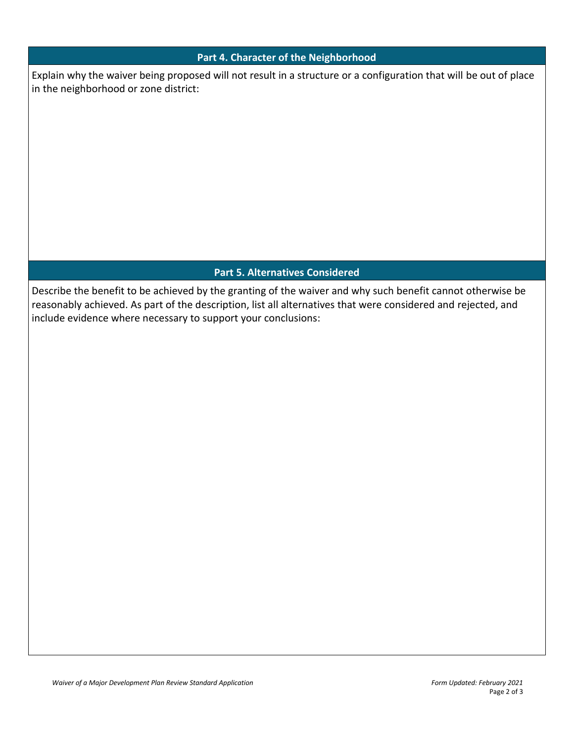### **Part 4. Character of the Neighborhood**

Explain why the waiver being proposed will not result in a structure or a configuration that will be out of place in the neighborhood or zone district:

# **Part 5. Alternatives Considered**

Describe the benefit to be achieved by the granting of the waiver and why such benefit cannot otherwise be reasonably achieved. As part of the description, list all alternatives that were considered and rejected, and include evidence where necessary to support your conclusions: